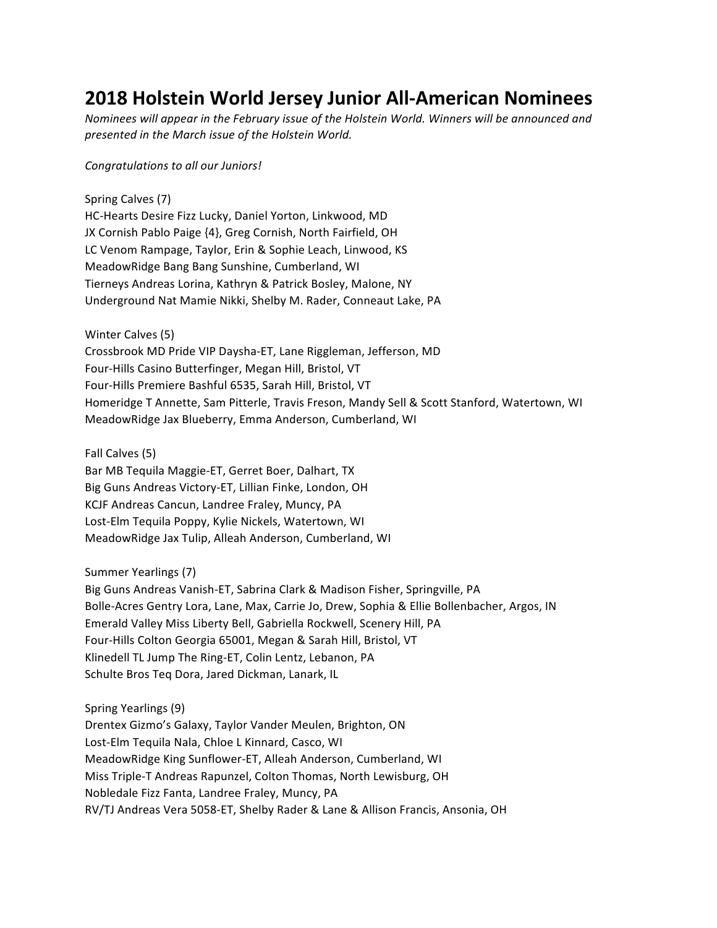## **2018 Holstein World Jersey Junior All-American Nominees**

*Nominees will appear in the February issue of the Holstein World. Winners will be announced and* presented in the March issue of the Holstein World.

## *Congratulations to all our Juniors!*

Spring Calves (7) HC-Hearts Desire Fizz Lucky, Daniel Yorton, Linkwood, MD JX Cornish Pablo Paige {4}, Greg Cornish, North Fairfield, OH LC Venom Rampage, Taylor, Erin & Sophie Leach, Linwood, KS MeadowRidge Bang Bang Sunshine, Cumberland, WI Tierneys Andreas Lorina, Kathryn & Patrick Bosley, Malone, NY Underground Nat Mamie Nikki, Shelby M. Rader, Conneaut Lake, PA

Winter Calves (5) Crossbrook MD Pride VIP Daysha-ET, Lane Riggleman, Jefferson, MD Four-Hills Casino Butterfinger, Megan Hill, Bristol, VT Four-Hills Premiere Bashful 6535, Sarah Hill, Bristol, VT Homeridge T Annette, Sam Pitterle, Travis Freson, Mandy Sell & Scott Stanford, Watertown, WI MeadowRidge Jax Blueberry, Emma Anderson, Cumberland, WI

Fall Calves (5)

Bar MB Tequila Maggie-ET, Gerret Boer, Dalhart, TX Big Guns Andreas Victory-ET, Lillian Finke, London, OH KCJF Andreas Cancun, Landree Fraley, Muncy, PA Lost-Elm Tequila Poppy, Kylie Nickels, Watertown, WI MeadowRidge Jax Tulip, Alleah Anderson, Cumberland, WI

Summer Yearlings (7)

Big Guns Andreas Vanish-ET, Sabrina Clark & Madison Fisher, Springville, PA Bolle-Acres Gentry Lora, Lane, Max, Carrie Jo, Drew, Sophia & Ellie Bollenbacher, Argos, IN Emerald Valley Miss Liberty Bell, Gabriella Rockwell, Scenery Hill, PA Four-Hills Colton Georgia 65001, Megan & Sarah Hill, Bristol, VT Klinedell TL Jump The Ring-ET, Colin Lentz, Lebanon, PA Schulte Bros Teg Dora, Jared Dickman, Lanark, IL

Spring Yearlings (9) Drentex Gizmo's Galaxy, Taylor Vander Meulen, Brighton, ON Lost-Elm Tequila Nala, Chloe L Kinnard, Casco, WI MeadowRidge King Sunflower-ET, Alleah Anderson, Cumberland, WI Miss Triple-T Andreas Rapunzel, Colton Thomas, North Lewisburg, OH Nobledale Fizz Fanta, Landree Fraley, Muncy, PA RV/TJ Andreas Vera 5058-ET, Shelby Rader & Lane & Allison Francis, Ansonia, OH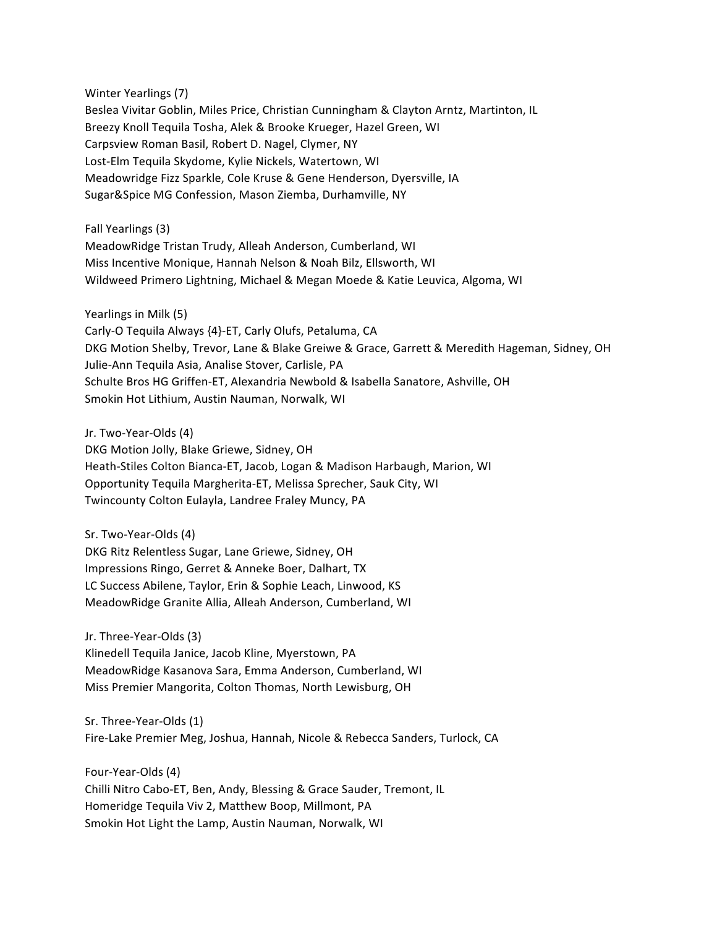Winter Yearlings (7) Beslea Vivitar Goblin, Miles Price, Christian Cunningham & Clayton Arntz, Martinton, IL Breezy Knoll Tequila Tosha, Alek & Brooke Krueger, Hazel Green, WI Carpsview Roman Basil, Robert D. Nagel, Clymer, NY Lost-Elm Tequila Skydome, Kylie Nickels, Watertown, WI Meadowridge Fizz Sparkle, Cole Kruse & Gene Henderson, Dyersville, IA Sugar&Spice MG Confession, Mason Ziemba, Durhamville, NY

Fall Yearlings (3)

MeadowRidge Tristan Trudy, Alleah Anderson, Cumberland, WI Miss Incentive Monique, Hannah Nelson & Noah Bilz, Ellsworth, WI Wildweed Primero Lightning, Michael & Megan Moede & Katie Leuvica, Algoma, WI

Yearlings in Milk (5)

Carly-O Tequila Always {4}-ET, Carly Olufs, Petaluma, CA DKG Motion Shelby, Trevor, Lane & Blake Greiwe & Grace, Garrett & Meredith Hageman, Sidney, OH Julie-Ann Tequila Asia, Analise Stover, Carlisle, PA Schulte Bros HG Griffen-ET, Alexandria Newbold & Isabella Sanatore, Ashville, OH Smokin Hot Lithium, Austin Nauman, Norwalk, WI

Jr. Two-Year-Olds (4) DKG Motion Jolly, Blake Griewe, Sidney, OH Heath-Stiles Colton Bianca-ET, Jacob, Logan & Madison Harbaugh, Marion, WI Opportunity Tequila Margherita-ET, Melissa Sprecher, Sauk City, WI Twincounty Colton Eulayla, Landree Fraley Muncy, PA

Sr. Two-Year-Olds (4) DKG Ritz Relentless Sugar, Lane Griewe, Sidney, OH Impressions Ringo, Gerret & Anneke Boer, Dalhart, TX LC Success Abilene, Taylor, Erin & Sophie Leach, Linwood, KS MeadowRidge Granite Allia, Alleah Anderson, Cumberland, WI

Jr. Three-Year-Olds (3) Klinedell Tequila Janice, Jacob Kline, Myerstown, PA MeadowRidge Kasanova Sara, Emma Anderson, Cumberland, WI Miss Premier Mangorita, Colton Thomas, North Lewisburg, OH

Sr. Three-Year-Olds (1) Fire-Lake Premier Meg, Joshua, Hannah, Nicole & Rebecca Sanders, Turlock, CA

Four-Year-Olds (4) Chilli Nitro Cabo-ET, Ben, Andy, Blessing & Grace Sauder, Tremont, IL Homeridge Tequila Viv 2, Matthew Boop, Millmont, PA Smokin Hot Light the Lamp, Austin Nauman, Norwalk, WI